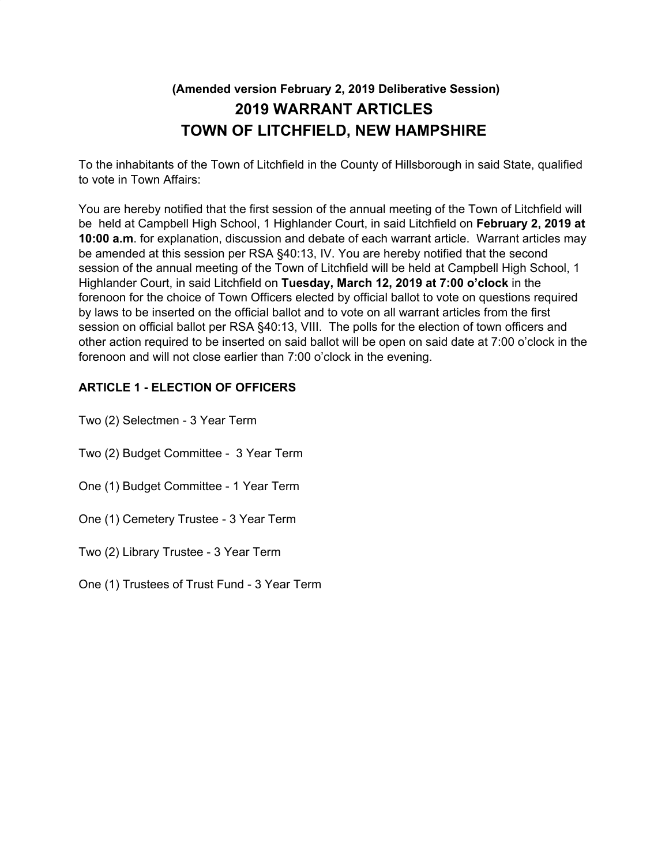# **(Amended version February 2, 2019 Deliberative Session) 2019 WARRANT ARTICLES TOWN OF LITCHFIELD, NEW HAMPSHIRE**

To the inhabitants of the Town of Litchfield in the County of Hillsborough in said State, qualified to vote in Town Affairs:

You are hereby notified that the first session of the annual meeting of the Town of Litchfield will be held at Campbell High School, 1 Highlander Court, in said Litchfield on **February 2, 2019 at 10:00 a.m**. for explanation, discussion and debate of each warrant article. Warrant articles may be amended at this session per RSA §40:13, IV. You are hereby notified that the second session of the annual meeting of the Town of Litchfield will be held at Campbell High School, 1 Highlander Court, in said Litchfield on **Tuesday, March 12, 2019 at 7:00 o'clock** in the forenoon for the choice of Town Officers elected by official ballot to vote on questions required by laws to be inserted on the official ballot and to vote on all warrant articles from the first session on official ballot per RSA §40:13, VIII. The polls for the election of town officers and other action required to be inserted on said ballot will be open on said date at 7:00 o'clock in the forenoon and will not close earlier than 7:00 o'clock in the evening.

# **ARTICLE 1 - ELECTION OF OFFICERS**

Two (2) Selectmen - 3 Year Term

- Two (2) Budget Committee 3 Year Term
- One (1) Budget Committee 1 Year Term
- One (1) Cemetery Trustee 3 Year Term

Two (2) Library Trustee - 3 Year Term

One (1) Trustees of Trust Fund - 3 Year Term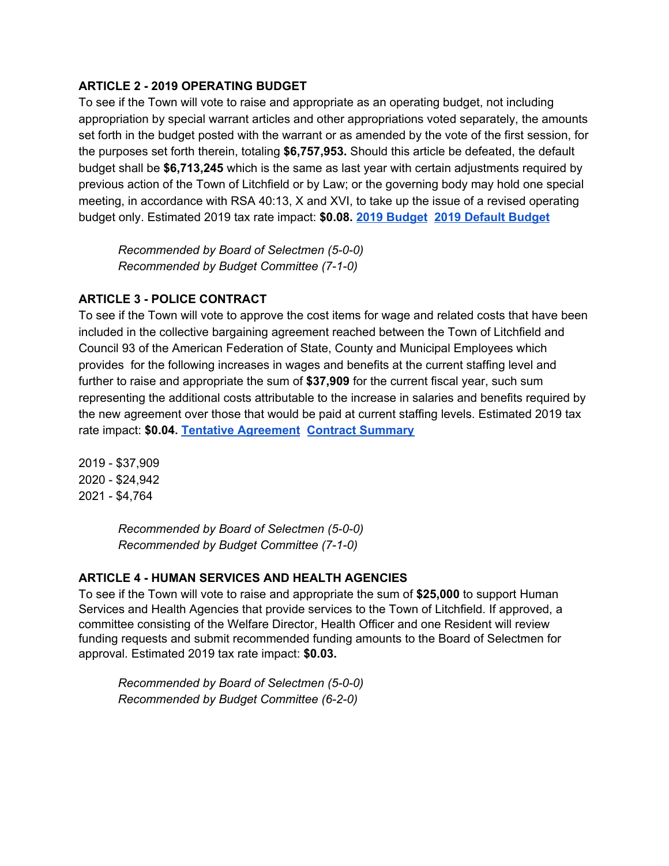### **ARTICLE 2 - 2019 OPERATING BUDGET**

To see if the Town will vote to raise and appropriate as an operating budget, not including appropriation by special warrant articles and other appropriations voted separately, the amounts set forth in the budget posted with the warrant or as amended by the vote of the first session, for the purposes set forth therein, totaling **\$6,757,953.** Should this article be defeated, the default budget shall be **\$6,713,245** which is the same as last year with certain adjustments required by previous action of the Town of Litchfield or by Law; or the governing body may hold one special meeting, in accordance with RSA 40:13, X and XVI, to take up the issue of a revised operating budget only. Estimated 2019 tax rate impact: **\$0.08. 2019 [Budget](https://drive.google.com/open?id=16qdFqGA_bs5GKgQSscTJKpqOmfUmK5gXH1Qx-pXT9dg) 2019 Default [Budget](https://drive.google.com/open?id=10nZGAmb2miaaLOw1i12PUDL8NeSOQIMfXoXxoGACIfE)**

*Recommended by Board of Selectmen (5-0-0) Recommended by Budget Committee (7-1-0)*

### **ARTICLE 3 - POLICE CONTRACT**

To see if the Town will vote to approve the cost items for wage and related costs that have been included in the collective bargaining agreement reached between the Town of Litchfield and Council 93 of the American Federation of State, County and Municipal Employees which provides for the following increases in wages and benefits at the current staffing level and further to raise and appropriate the sum of **\$37,909** for the current fiscal year, such sum representing the additional costs attributable to the increase in salaries and benefits required by the new agreement over those that would be paid at current staffing levels. Estimated 2019 tax rate impact: **\$0.04. Tentative [Agreement](https://drive.google.com/open?id=0Bz5uQoaqQfBtdG10YnBTQk0xQ1ZyMmpPLWZ0MG9RTHA3c0hR) Contract [Summary](https://drive.google.com/open?id=1FWWz3Ebe8FB1jBbjLSgTonKDXW40MP73xSP0Jjc3aPY)**

2019 - \$37,909 2020 - \$24,942 2021 - \$4,764

> *Recommended by Board of Selectmen (5-0-0) Recommended by Budget Committee (7-1-0)*

#### **ARTICLE 4 - HUMAN SERVICES AND HEALTH AGENCIES**

To see if the Town will vote to raise and appropriate the sum of **\$25,000** to support Human Services and Health Agencies that provide services to the Town of Litchfield. If approved, a committee consisting of the Welfare Director, Health Officer and one Resident will review funding requests and submit recommended funding amounts to the Board of Selectmen for approval. Estimated 2019 tax rate impact: **\$0.03.**

*Recommended by Board of Selectmen (5-0-0) Recommended by Budget Committee (6-2-0)*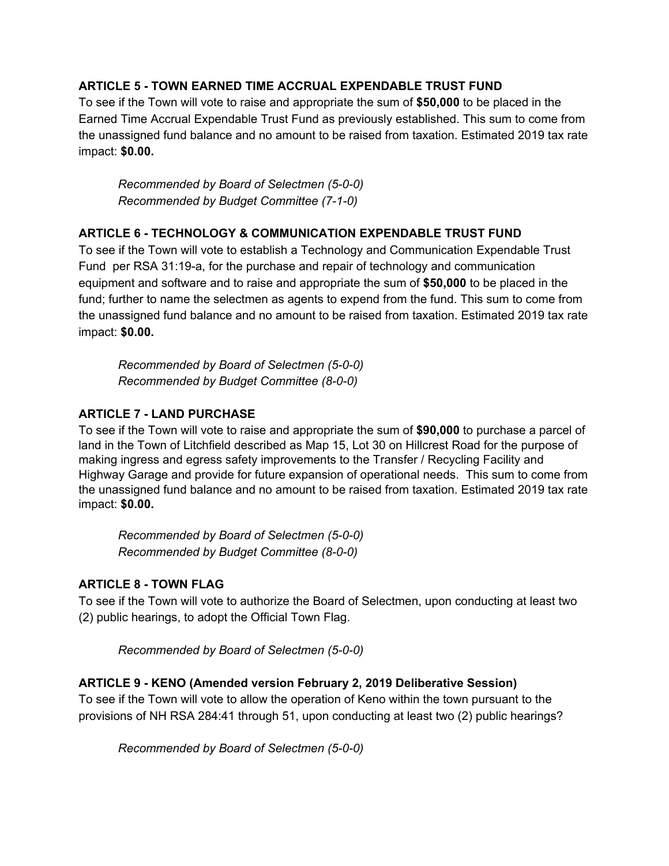### **ARTICLE 5 - TOWN EARNED TIME ACCRUAL EXPENDABLE TRUST FUND**

To see if the Town will vote to raise and appropriate the sum of **\$50,000** to be placed in the Earned Time Accrual Expendable Trust Fund as previously established. This sum to come from the unassigned fund balance and no amount to be raised from taxation. Estimated 2019 tax rate impact: **\$0.00.**

*Recommended by Board of Selectmen (5-0-0) Recommended by Budget Committee (7-1-0)*

## **ARTICLE 6 - TECHNOLOGY & COMMUNICATION EXPENDABLE TRUST FUND**

To see if the Town will vote to establish a Technology and Communication Expendable Trust Fund per RSA 31:19-a, for the purchase and repair of technology and communication equipment and software and to raise and appropriate the sum of **\$50,000** to be placed in the fund; further to name the selectmen as agents to expend from the fund. This sum to come from the unassigned fund balance and no amount to be raised from taxation. Estimated 2019 tax rate impact: **\$0.00.**

*Recommended by Board of Selectmen (5-0-0) Recommended by Budget Committee (8-0-0)*

## **ARTICLE 7 - LAND PURCHASE**

To see if the Town will vote to raise and appropriate the sum of **\$90,000** to purchase a parcel of land in the Town of Litchfield described as Map 15, Lot 30 on Hillcrest Road for the purpose of making ingress and egress safety improvements to the Transfer / Recycling Facility and Highway Garage and provide for future expansion of operational needs. This sum to come from the unassigned fund balance and no amount to be raised from taxation. Estimated 2019 tax rate impact: **\$0.00.**

*Recommended by Board of Selectmen (5-0-0) Recommended by Budget Committee (8-0-0)*

# **ARTICLE 8 - TOWN FLAG**

To see if the Town will vote to authorize the Board of Selectmen, upon conducting at least two (2) public hearings, to adopt the Official Town Flag.

*Recommended by Board of Selectmen (5-0-0)*

# **ARTICLE 9 - KENO (Amended version February 2, 2019 Deliberative Session)**

To see if the Town will vote to allow the operation of Keno within the town pursuant to the provisions of NH RSA 284:41 through 51, upon conducting at least two (2) public hearings?

*Recommended by Board of Selectmen (5-0-0)*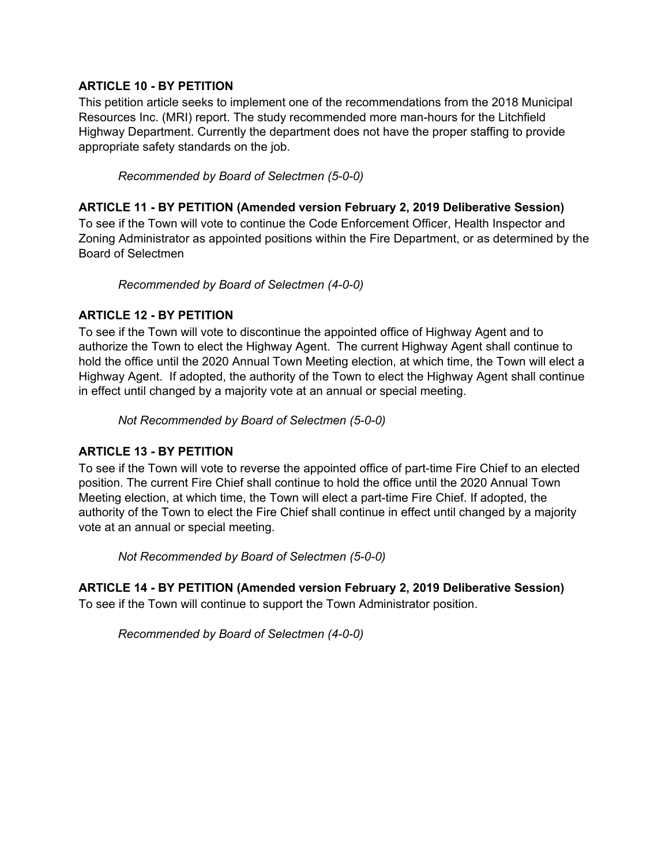### **ARTICLE 10 - BY PETITION**

This petition article seeks to implement one of the recommendations from the 2018 Municipal Resources Inc. (MRI) report. The study recommended more man-hours for the Litchfield Highway Department. Currently the department does not have the proper staffing to provide appropriate safety standards on the job.

*Recommended by Board of Selectmen (5-0-0)*

#### **ARTICLE 11 - BY PETITION (Amended version February 2, 2019 Deliberative Session)**

To see if the Town will vote to continue the Code Enforcement Officer, Health Inspector and Zoning Administrator as appointed positions within the Fire Department, or as determined by the Board of Selectmen

*Recommended by Board of Selectmen (4-0-0)*

### **ARTICLE 12 - BY PETITION**

To see if the Town will vote to discontinue the appointed office of Highway Agent and to authorize the Town to elect the Highway Agent. The current Highway Agent shall continue to hold the office until the 2020 Annual Town Meeting election, at which time, the Town will elect a Highway Agent. If adopted, the authority of the Town to elect the Highway Agent shall continue in effect until changed by a majority vote at an annual or special meeting.

*Not Recommended by Board of Selectmen (5-0-0)*

#### **ARTICLE 13 - BY PETITION**

To see if the Town will vote to reverse the appointed office of part-time Fire Chief to an elected position. The current Fire Chief shall continue to hold the office until the 2020 Annual Town Meeting election, at which time, the Town will elect a part-time Fire Chief. If adopted, the authority of the Town to elect the Fire Chief shall continue in effect until changed by a majority vote at an annual or special meeting.

*Not Recommended by Board of Selectmen (5-0-0)*

#### **ARTICLE 14 - BY PETITION (Amended version February 2, 2019 Deliberative Session)**

To see if the Town will continue to support the Town Administrator position.

*Recommended by Board of Selectmen (4-0-0)*